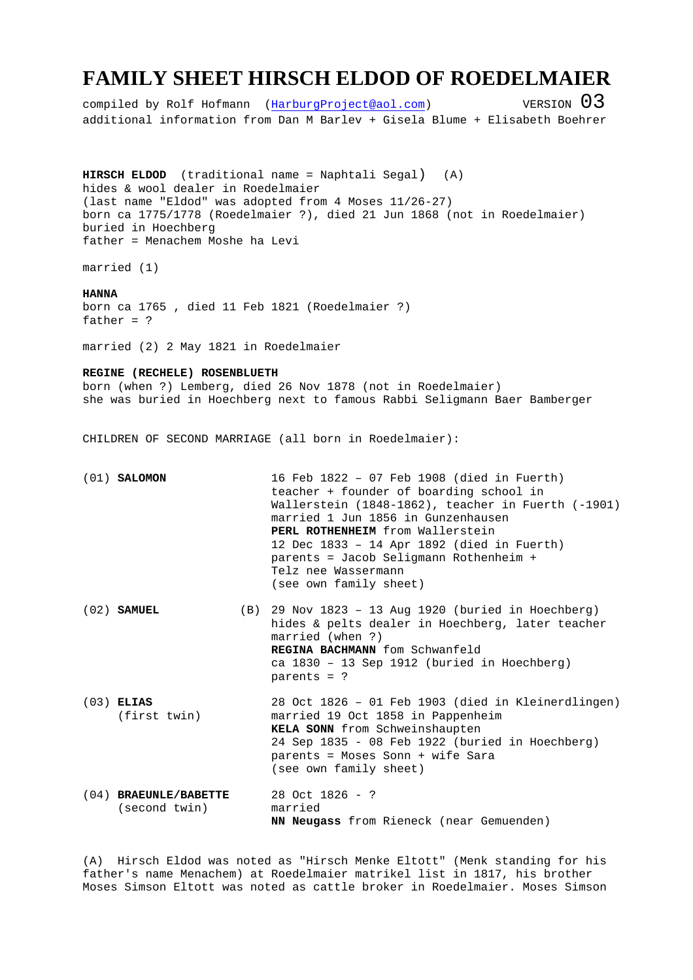## **FAMILY SHEET HIRSCH ELDOD OF ROEDELMAIER**

compiled by Rolf Hofmann (HarburgProject@aol.com)  $V$ ERSION  $03$ additional information from Dan M Barlev + Gisela Blume + Elisabeth Boehrer

**HIRSCH ELDOD** (traditional name = Naphtali Segal) (A) hides & wool dealer in Roedelmaier (last name "Eldod" was adopted from 4 Moses 11/26-27) born ca 1775/1778 (Roedelmaier ?), died 21 Jun 1868 (not in Roedelmaier) buried in Hoechberg father = Menachem Moshe ha Levi

married (1)

## **HANNA**

born ca 1765 , died 11 Feb 1821 (Roedelmaier ?) father = ?

married (2) 2 May 1821 in Roedelmaier

## **REGINE (RECHELE) ROSENBLUETH**

born (when ?) Lemberg, died 26 Nov 1878 (not in Roedelmaier) she was buried in Hoechberg next to famous Rabbi Seligmann Baer Bamberger

CHILDREN OF SECOND MARRIAGE (all born in Roedelmaier):

|  | $(01)$ SALOMON | 16 Feb 1822 - 07 Feb 1908 (died in Fuerth)              |
|--|----------------|---------------------------------------------------------|
|  |                | teacher + founder of boarding school in                 |
|  |                | Wallerstein $(1848-1862)$ , teacher in Fuerth $(-1901)$ |
|  |                | married 1 Jun 1856 in Gunzenhausen                      |
|  |                | PERL ROTHENHEIM from Wallerstein                        |
|  |                | 12 Dec 1833 - 14 Apr 1892 (died in Fuerth)              |
|  |                | parents = Jacob Seligmann Rothenheim +                  |
|  |                | Telz nee Wassermann                                     |
|  |                | (see own family sheet)                                  |
|  |                |                                                         |

- (02) **SAMUEL** (B) 29 Nov 1823 13 Aug 1920 (buried in Hoechberg) hides & pelts dealer in Hoechberg, later teacher married (when ?) **REGINA BACHMANN** fom Schwanfeld ca 1830 – 13 Sep 1912 (buried in Hoechberg) parents = ?
- (03) **ELIAS** 28 Oct 1826 01 Feb 1903 (died in Kleinerdlingen) (first twin) married 19 Oct 1858 in Pappenheim **KELA SONN** from Schweinshaupten 24 Sep 1835 - 08 Feb 1922 (buried in Hoechberg) parents = Moses Sonn + wife Sara (see own family sheet)
- (04) **BRAEUNLE/BABETTE** 28 Oct 1826 ? (second twin) married **NN Neugass** from Rieneck (near Gemuenden)

(A) Hirsch Eldod was noted as "Hirsch Menke Eltott" (Menk standing for his father's name Menachem) at Roedelmaier matrikel list in 1817, his brother Moses Simson Eltott was noted as cattle broker in Roedelmaier. Moses Simson